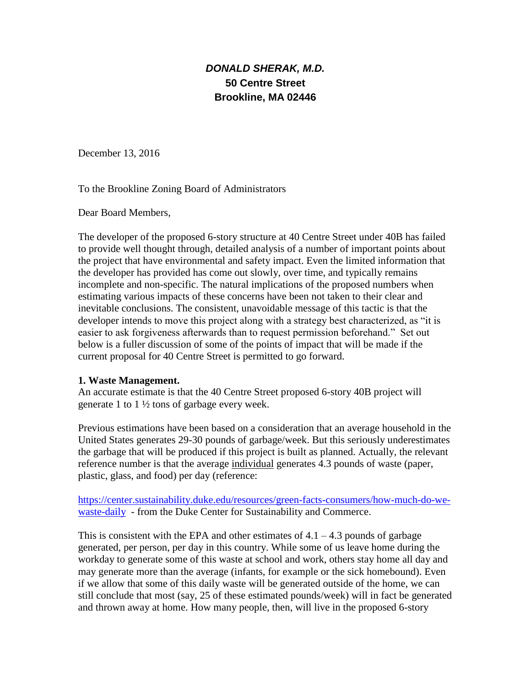# *DONALD SHERAK, M.D.* **50 Centre Street Brookline, MA 02446**

December 13, 2016

To the Brookline Zoning Board of Administrators

Dear Board Members,

The developer of the proposed 6-story structure at 40 Centre Street under 40B has failed to provide well thought through, detailed analysis of a number of important points about the project that have environmental and safety impact. Even the limited information that the developer has provided has come out slowly, over time, and typically remains incomplete and non-specific. The natural implications of the proposed numbers when estimating various impacts of these concerns have been not taken to their clear and inevitable conclusions. The consistent, unavoidable message of this tactic is that the developer intends to move this project along with a strategy best characterized, as "it is easier to ask forgiveness afterwards than to request permission beforehand." Set out below is a fuller discussion of some of the points of impact that will be made if the current proposal for 40 Centre Street is permitted to go forward.

#### **1. Waste Management.**

An accurate estimate is that the 40 Centre Street proposed 6-story 40B project will generate 1 to 1 ½ tons of garbage every week.

Previous estimations have been based on a consideration that an average household in the United States generates 29-30 pounds of garbage/week. But this seriously underestimates the garbage that will be produced if this project is built as planned. Actually, the relevant reference number is that the average individual generates 4.3 pounds of waste (paper, plastic, glass, and food) per day (reference:

[https://center.sustainability.duke.edu/resources/green-facts-consumers/how-much-do-we](https://center.sustainability.duke.edu/resources/green-facts-consumers/how-much-do-we-waste-daily)[waste-daily](https://center.sustainability.duke.edu/resources/green-facts-consumers/how-much-do-we-waste-daily) - from the Duke Center for Sustainability and Commerce.

This is consistent with the EPA and other estimates of  $4.1 - 4.3$  pounds of garbage generated, per person, per day in this country. While some of us leave home during the workday to generate some of this waste at school and work, others stay home all day and may generate more than the average (infants, for example or the sick homebound). Even if we allow that some of this daily waste will be generated outside of the home, we can still conclude that most (say, 25 of these estimated pounds/week) will in fact be generated and thrown away at home. How many people, then, will live in the proposed 6-story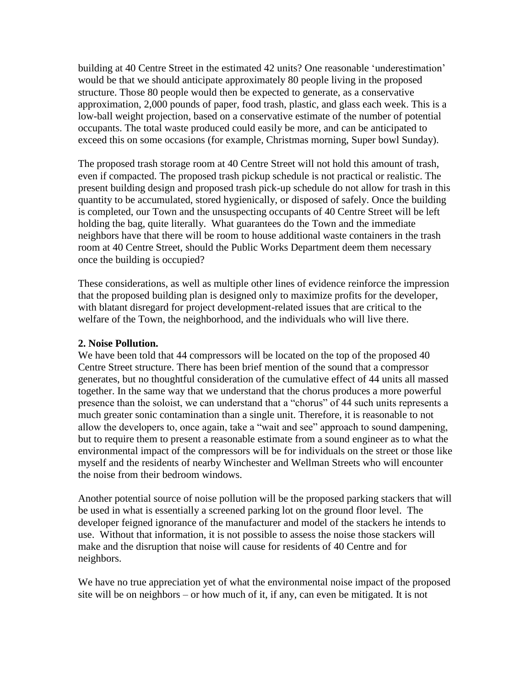building at 40 Centre Street in the estimated 42 units? One reasonable 'underestimation' would be that we should anticipate approximately 80 people living in the proposed structure. Those 80 people would then be expected to generate, as a conservative approximation, 2,000 pounds of paper, food trash, plastic, and glass each week. This is a low-ball weight projection, based on a conservative estimate of the number of potential occupants. The total waste produced could easily be more, and can be anticipated to exceed this on some occasions (for example, Christmas morning, Super bowl Sunday).

The proposed trash storage room at 40 Centre Street will not hold this amount of trash, even if compacted. The proposed trash pickup schedule is not practical or realistic. The present building design and proposed trash pick-up schedule do not allow for trash in this quantity to be accumulated, stored hygienically, or disposed of safely. Once the building is completed, our Town and the unsuspecting occupants of 40 Centre Street will be left holding the bag, quite literally. What guarantees do the Town and the immediate neighbors have that there will be room to house additional waste containers in the trash room at 40 Centre Street, should the Public Works Department deem them necessary once the building is occupied?

These considerations, as well as multiple other lines of evidence reinforce the impression that the proposed building plan is designed only to maximize profits for the developer, with blatant disregard for project development-related issues that are critical to the welfare of the Town, the neighborhood, and the individuals who will live there.

#### **2. Noise Pollution.**

We have been told that 44 compressors will be located on the top of the proposed 40 Centre Street structure. There has been brief mention of the sound that a compressor generates, but no thoughtful consideration of the cumulative effect of 44 units all massed together. In the same way that we understand that the chorus produces a more powerful presence than the soloist, we can understand that a "chorus" of 44 such units represents a much greater sonic contamination than a single unit. Therefore, it is reasonable to not allow the developers to, once again, take a "wait and see" approach to sound dampening, but to require them to present a reasonable estimate from a sound engineer as to what the environmental impact of the compressors will be for individuals on the street or those like myself and the residents of nearby Winchester and Wellman Streets who will encounter the noise from their bedroom windows.

Another potential source of noise pollution will be the proposed parking stackers that will be used in what is essentially a screened parking lot on the ground floor level. The developer feigned ignorance of the manufacturer and model of the stackers he intends to use. Without that information, it is not possible to assess the noise those stackers will make and the disruption that noise will cause for residents of 40 Centre and for neighbors.

We have no true appreciation yet of what the environmental noise impact of the proposed site will be on neighbors – or how much of it, if any, can even be mitigated. It is not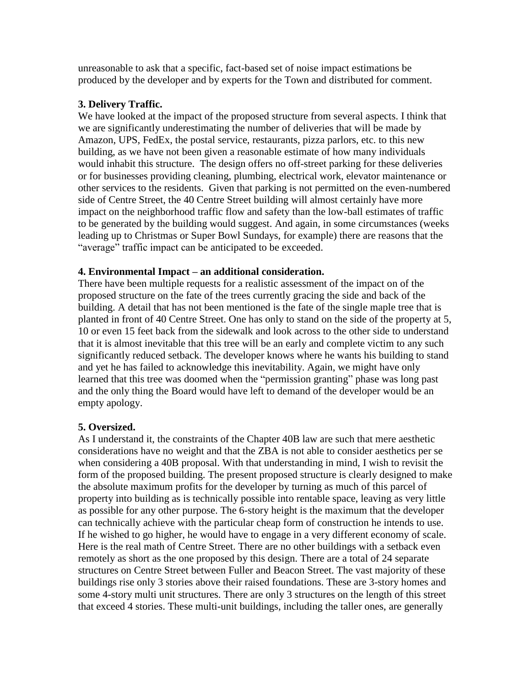unreasonable to ask that a specific, fact-based set of noise impact estimations be produced by the developer and by experts for the Town and distributed for comment.

## **3. Delivery Traffic.**

We have looked at the impact of the proposed structure from several aspects. I think that we are significantly underestimating the number of deliveries that will be made by Amazon, UPS, FedEx, the postal service, restaurants, pizza parlors, etc. to this new building, as we have not been given a reasonable estimate of how many individuals would inhabit this structure. The design offers no off-street parking for these deliveries or for businesses providing cleaning, plumbing, electrical work, elevator maintenance or other services to the residents. Given that parking is not permitted on the even-numbered side of Centre Street, the 40 Centre Street building will almost certainly have more impact on the neighborhood traffic flow and safety than the low-ball estimates of traffic to be generated by the building would suggest. And again, in some circumstances (weeks leading up to Christmas or Super Bowl Sundays, for example) there are reasons that the "average" traffic impact can be anticipated to be exceeded.

## **4. Environmental Impact – an additional consideration.**

There have been multiple requests for a realistic assessment of the impact on of the proposed structure on the fate of the trees currently gracing the side and back of the building. A detail that has not been mentioned is the fate of the single maple tree that is planted in front of 40 Centre Street. One has only to stand on the side of the property at 5, 10 or even 15 feet back from the sidewalk and look across to the other side to understand that it is almost inevitable that this tree will be an early and complete victim to any such significantly reduced setback. The developer knows where he wants his building to stand and yet he has failed to acknowledge this inevitability. Again, we might have only learned that this tree was doomed when the "permission granting" phase was long past and the only thing the Board would have left to demand of the developer would be an empty apology.

# **5. Oversized.**

As I understand it, the constraints of the Chapter 40B law are such that mere aesthetic considerations have no weight and that the ZBA is not able to consider aesthetics per se when considering a 40B proposal. With that understanding in mind, I wish to revisit the form of the proposed building. The present proposed structure is clearly designed to make the absolute maximum profits for the developer by turning as much of this parcel of property into building as is technically possible into rentable space, leaving as very little as possible for any other purpose. The 6-story height is the maximum that the developer can technically achieve with the particular cheap form of construction he intends to use. If he wished to go higher, he would have to engage in a very different economy of scale. Here is the real math of Centre Street. There are no other buildings with a setback even remotely as short as the one proposed by this design. There are a total of 24 separate structures on Centre Street between Fuller and Beacon Street. The vast majority of these buildings rise only 3 stories above their raised foundations. These are 3-story homes and some 4-story multi unit structures. There are only 3 structures on the length of this street that exceed 4 stories. These multi-unit buildings, including the taller ones, are generally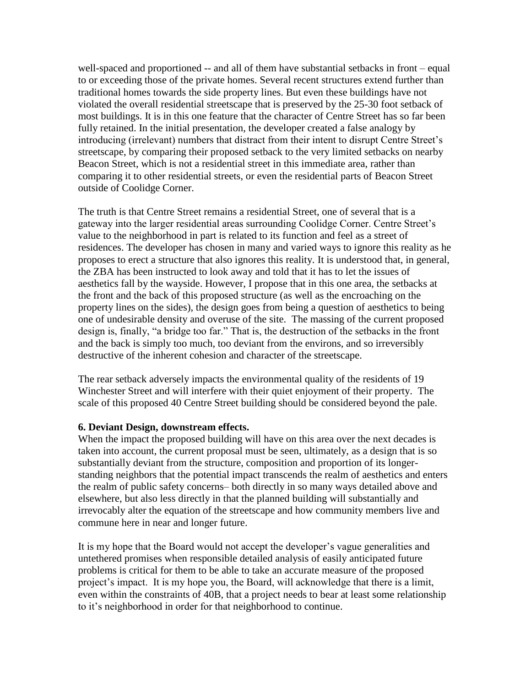well-spaced and proportioned -- and all of them have substantial setbacks in front – equal to or exceeding those of the private homes. Several recent structures extend further than traditional homes towards the side property lines. But even these buildings have not violated the overall residential streetscape that is preserved by the 25-30 foot setback of most buildings. It is in this one feature that the character of Centre Street has so far been fully retained. In the initial presentation, the developer created a false analogy by introducing (irrelevant) numbers that distract from their intent to disrupt Centre Street's streetscape, by comparing their proposed setback to the very limited setbacks on nearby Beacon Street, which is not a residential street in this immediate area, rather than comparing it to other residential streets, or even the residential parts of Beacon Street outside of Coolidge Corner.

The truth is that Centre Street remains a residential Street, one of several that is a gateway into the larger residential areas surrounding Coolidge Corner. Centre Street's value to the neighborhood in part is related to its function and feel as a street of residences. The developer has chosen in many and varied ways to ignore this reality as he proposes to erect a structure that also ignores this reality. It is understood that, in general, the ZBA has been instructed to look away and told that it has to let the issues of aesthetics fall by the wayside. However, I propose that in this one area, the setbacks at the front and the back of this proposed structure (as well as the encroaching on the property lines on the sides), the design goes from being a question of aesthetics to being one of undesirable density and overuse of the site. The massing of the current proposed design is, finally, "a bridge too far." That is, the destruction of the setbacks in the front and the back is simply too much, too deviant from the environs, and so irreversibly destructive of the inherent cohesion and character of the streetscape.

The rear setback adversely impacts the environmental quality of the residents of 19 Winchester Street and will interfere with their quiet enjoyment of their property. The scale of this proposed 40 Centre Street building should be considered beyond the pale.

#### **6. Deviant Design, downstream effects.**

When the impact the proposed building will have on this area over the next decades is taken into account, the current proposal must be seen, ultimately, as a design that is so substantially deviant from the structure, composition and proportion of its longerstanding neighbors that the potential impact transcends the realm of aesthetics and enters the realm of public safety concerns– both directly in so many ways detailed above and elsewhere, but also less directly in that the planned building will substantially and irrevocably alter the equation of the streetscape and how community members live and commune here in near and longer future.

It is my hope that the Board would not accept the developer's vague generalities and untethered promises when responsible detailed analysis of easily anticipated future problems is critical for them to be able to take an accurate measure of the proposed project's impact. It is my hope you, the Board, will acknowledge that there is a limit, even within the constraints of 40B, that a project needs to bear at least some relationship to it's neighborhood in order for that neighborhood to continue.